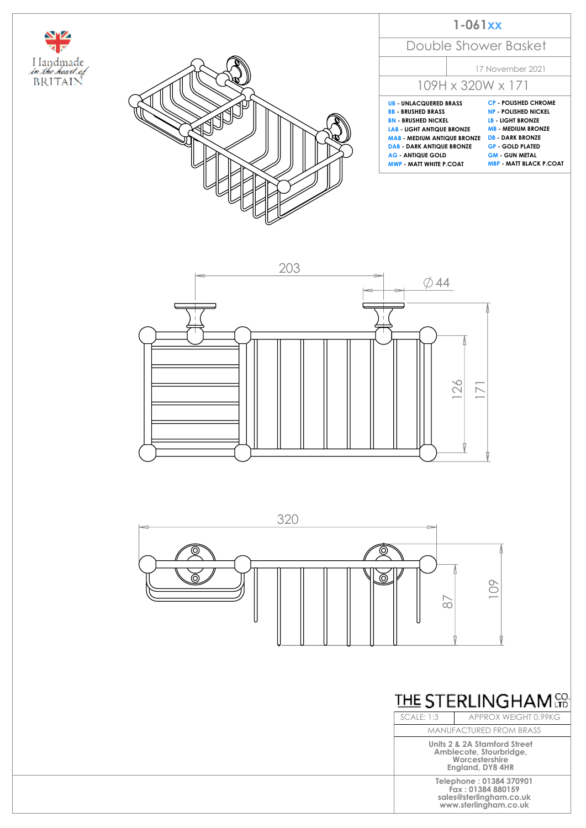



|                                                                                                                                                                                                                                                    | $1-061xx$               |                                                                                                                                                                                                         |
|----------------------------------------------------------------------------------------------------------------------------------------------------------------------------------------------------------------------------------------------------|-------------------------|---------------------------------------------------------------------------------------------------------------------------------------------------------------------------------------------------------|
|                                                                                                                                                                                                                                                    |                         | Double Shower Basket                                                                                                                                                                                    |
|                                                                                                                                                                                                                                                    |                         | 17 November 2021                                                                                                                                                                                        |
|                                                                                                                                                                                                                                                    |                         | 109H x 320W x 171                                                                                                                                                                                       |
| <b>UB UNLACQUERED BRASS</b><br><b>BB - BRUSHED BRASS</b><br><b>BN - BRUSHED NICKEL</b><br><b>LAB - LIGHT ANTIQUE BRONZE</b><br><b>MAB - MEDIUM ANTIQUE BRONZE DB - DARK BRONZE</b><br><b>DAB - DARK ANTIQUE BRONZE</b><br><b>AG - ANTIQUE GOLD</b> | MWP - MATT WHITE P.COAT | <b>CP - POLISHED CHROME</b><br><b>NP - POLISHED NICKEL</b><br><b>IB-HIGHT BRONZE</b><br><b>MR - MEDIUM BRONZE</b><br><b>GP - GOLD PLATED</b><br><b>GM - GUN METAL</b><br><b>MBP - MATT BLACK P.COAT</b> |







SCALE: 1:3 APPROX WEIGHT 0.99KG MANUFACTURED FROM BRASS

> **Units 2 & 2A Stamford Street Amblecote, Stourbridge, Worcestershire England, DY8 4HR**

> > **Telephone : 01384 370901 Fax : 01384 880159 sales@sterlingham.co.uk www.sterlingham.co.uk**